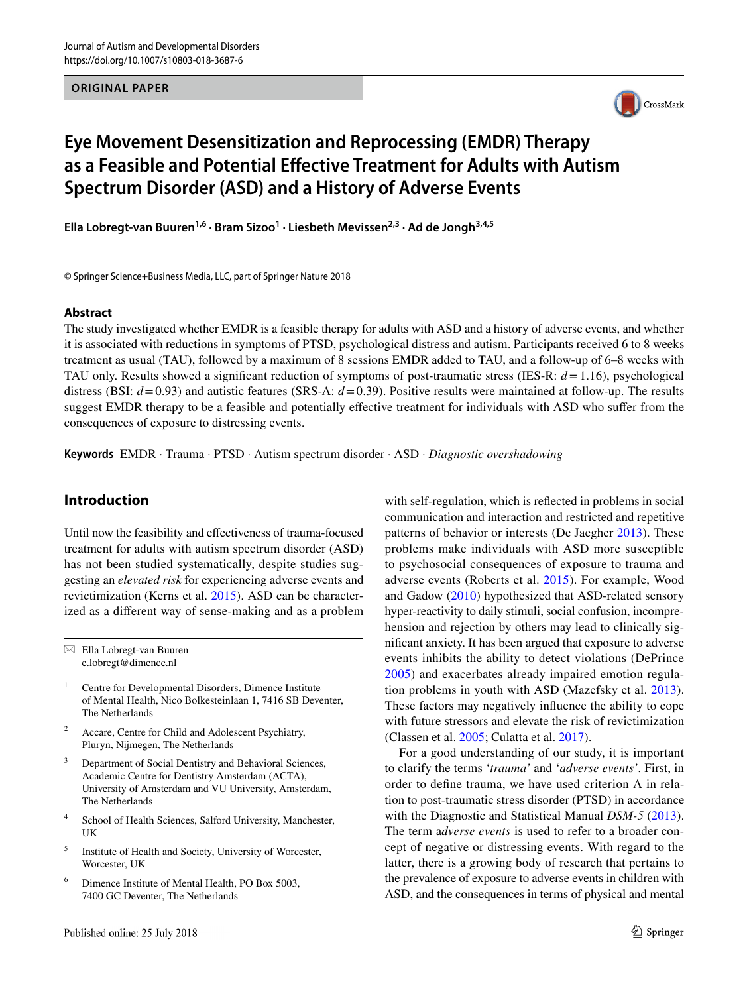### **ORIGINAL PAPER**



# **Eye Movement Desensitization and Reprocessing (EMDR) Therapy as a Feasible and Potential Effective Treatment for Adults with Autism Spectrum Disorder (ASD) and a History of Adverse Events**

**Ella Lobregt‑van Buuren1,6 · Bram Sizoo1 · Liesbeth Mevissen2,3 · Ad de Jongh3,4,5**

© Springer Science+Business Media, LLC, part of Springer Nature 2018

#### **Abstract**

The study investigated whether EMDR is a feasible therapy for adults with ASD and a history of adverse events, and whether it is associated with reductions in symptoms of PTSD, psychological distress and autism. Participants received 6 to 8 weeks treatment as usual (TAU), followed by a maximum of 8 sessions EMDR added to TAU, and a follow-up of 6–8 weeks with TAU only. Results showed a significant reduction of symptoms of post-traumatic stress (IES-R: *d*=1.16), psychological distress (BSI:  $d=0.93$ ) and autistic features (SRS-A:  $d=0.39$ ). Positive results were maintained at follow-up. The results suggest EMDR therapy to be a feasible and potentially effective treatment for individuals with ASD who suffer from the consequences of exposure to distressing events.

**Keywords** EMDR · Trauma · PTSD · Autism spectrum disorder · ASD · *Diagnostic overshadowing*

# **Introduction**

Until now the feasibility and effectiveness of trauma-focused treatment for adults with autism spectrum disorder (ASD) has not been studied systematically, despite studies suggesting an *elevated risk* for experiencing adverse events and revictimization (Kerns et al. [2015](#page-12-0)). ASD can be characterized as a different way of sense-making and as a problem

 $\boxtimes$  Ella Lobregt-van Buuren e.lobregt@dimence.nl

- Centre for Developmental Disorders, Dimence Institute of Mental Health, Nico Bolkesteinlaan 1, 7416 SB Deventer, The Netherlands
- <sup>2</sup> Accare, Centre for Child and Adolescent Psychiatry, Pluryn, Nijmegen, The Netherlands
- Department of Social Dentistry and Behavioral Sciences, Academic Centre for Dentistry Amsterdam (ACTA), University of Amsterdam and VU University, Amsterdam, The Netherlands
- <sup>4</sup> School of Health Sciences, Salford University, Manchester, UK
- <sup>5</sup> Institute of Health and Society, University of Worcester, Worcester, UK
- <sup>6</sup> Dimence Institute of Mental Health, PO Box 5003, 7400 GC Deventer, The Netherlands

with self-regulation, which is reflected in problems in social communication and interaction and restricted and repetitive patterns of behavior or interests (De Jaegher [2013](#page-12-1)). These problems make individuals with ASD more susceptible to psychosocial consequences of exposure to trauma and adverse events (Roberts et al. [2015](#page-13-0)). For example, Wood and Gadow ([2010\)](#page-13-1) hypothesized that ASD-related sensory hyper-reactivity to daily stimuli, social confusion, incomprehension and rejection by others may lead to clinically significant anxiety. It has been argued that exposure to adverse events inhibits the ability to detect violations (DePrince [2005\)](#page-12-2) and exacerbates already impaired emotion regulation problems in youth with ASD (Mazefsky et al. [2013](#page-12-3)). These factors may negatively influence the ability to cope with future stressors and elevate the risk of revictimization (Classen et al. [2005;](#page-12-4) Culatta et al. [2017\)](#page-12-5).

For a good understanding of our study, it is important to clarify the terms '*trauma'* and '*adverse events'*. First, in order to define trauma, we have used criterion A in relation to post-traumatic stress disorder (PTSD) in accordance with the Diagnostic and Statistical Manual *DSM-5* [\(2013](#page-11-0)). The term a*dverse events* is used to refer to a broader concept of negative or distressing events. With regard to the latter, there is a growing body of research that pertains to the prevalence of exposure to adverse events in children with ASD, and the consequences in terms of physical and mental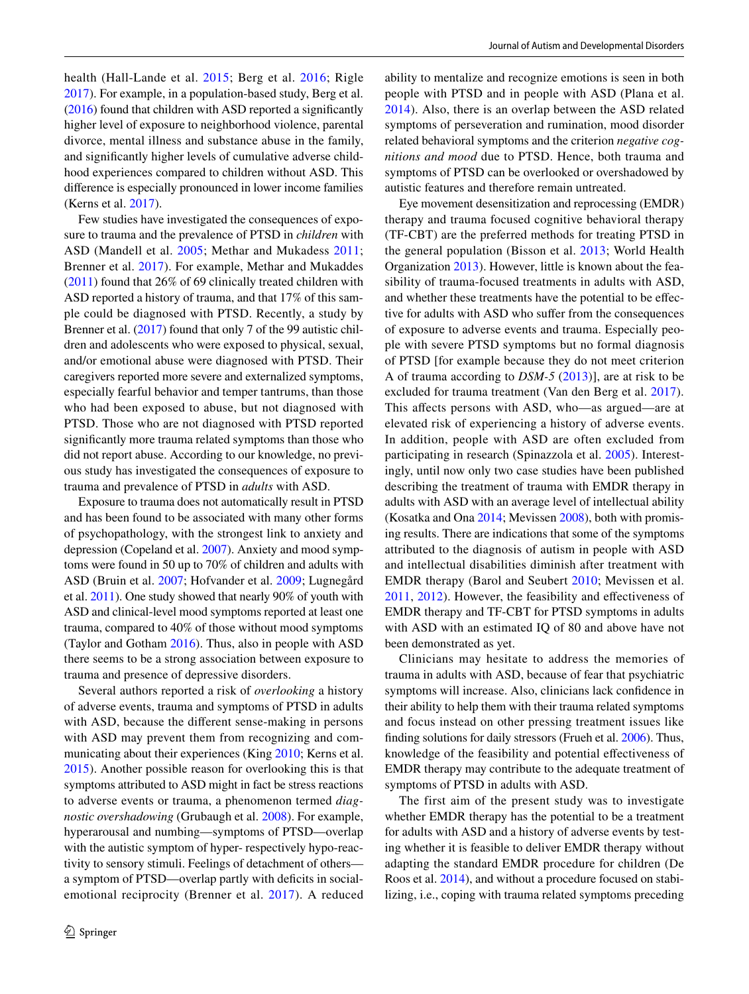health (Hall-Lande et al. [2015;](#page-12-6) Berg et al. [2016;](#page-11-1) Rigle [2017](#page-13-2)). For example, in a population-based study, Berg et al. [\(2016](#page-11-1)) found that children with ASD reported a significantly higher level of exposure to neighborhood violence, parental divorce, mental illness and substance abuse in the family, and significantly higher levels of cumulative adverse childhood experiences compared to children without ASD. This difference is especially pronounced in lower income families (Kerns et al. [2017](#page-12-7)).

Few studies have investigated the consequences of exposure to trauma and the prevalence of PTSD in *children* with ASD (Mandell et al. [2005;](#page-12-8) Methar and Mukadess [2011](#page-12-9); Brenner et al. [2017\)](#page-11-2). For example, Methar and Mukaddes [\(2011\)](#page-12-9) found that 26% of 69 clinically treated children with ASD reported a history of trauma, and that 17% of this sample could be diagnosed with PTSD. Recently, a study by Brenner et al. [\(2017](#page-11-2)) found that only 7 of the 99 autistic children and adolescents who were exposed to physical, sexual, and/or emotional abuse were diagnosed with PTSD. Their caregivers reported more severe and externalized symptoms, especially fearful behavior and temper tantrums, than those who had been exposed to abuse, but not diagnosed with PTSD. Those who are not diagnosed with PTSD reported significantly more trauma related symptoms than those who did not report abuse. According to our knowledge, no previous study has investigated the consequences of exposure to trauma and prevalence of PTSD in *adults* with ASD.

Exposure to trauma does not automatically result in PTSD and has been found to be associated with many other forms of psychopathology, with the strongest link to anxiety and depression (Copeland et al. [2007\)](#page-12-10). Anxiety and mood symptoms were found in 50 up to 70% of children and adults with ASD (Bruin et al. [2007](#page-12-11); Hofvander et al. [2009](#page-12-12); Lugnegård et al. [2011\)](#page-12-13). One study showed that nearly 90% of youth with ASD and clinical-level mood symptoms reported at least one trauma, compared to 40% of those without mood symptoms (Taylor and Gotham [2016\)](#page-13-3). Thus, also in people with ASD there seems to be a strong association between exposure to trauma and presence of depressive disorders.

Several authors reported a risk of *overlooking* a history of adverse events, trauma and symptoms of PTSD in adults with ASD, because the different sense-making in persons with ASD may prevent them from recognizing and communicating about their experiences (King [2010;](#page-12-14) Kerns et al. [2015](#page-12-0)). Another possible reason for overlooking this is that symptoms attributed to ASD might in fact be stress reactions to adverse events or trauma, a phenomenon termed *diagnostic overshadowing* (Grubaugh et al. [2008](#page-12-15)). For example, hyperarousal and numbing—symptoms of PTSD—overlap with the autistic symptom of hyper- respectively hypo-reactivity to sensory stimuli. Feelings of detachment of others a symptom of PTSD—overlap partly with deficits in socialemotional reciprocity (Brenner et al. [2017\)](#page-11-2). A reduced ability to mentalize and recognize emotions is seen in both people with PTSD and in people with ASD (Plana et al. [2014\)](#page-13-4). Also, there is an overlap between the ASD related symptoms of perseveration and rumination, mood disorder related behavioral symptoms and the criterion *negative cognitions and mood* due to PTSD. Hence, both trauma and symptoms of PTSD can be overlooked or overshadowed by autistic features and therefore remain untreated.

Eye movement desensitization and reprocessing (EMDR) therapy and trauma focused cognitive behavioral therapy (TF-CBT) are the preferred methods for treating PTSD in the general population (Bisson et al. [2013](#page-11-3); World Health Organization [2013](#page-13-5)). However, little is known about the feasibility of trauma-focused treatments in adults with ASD, and whether these treatments have the potential to be effective for adults with ASD who suffer from the consequences of exposure to adverse events and trauma. Especially people with severe PTSD symptoms but no formal diagnosis of PTSD [for example because they do not meet criterion A of trauma according to *DSM-5* ([2013](#page-11-0))], are at risk to be excluded for trauma treatment (Van den Berg et al. [2017](#page-13-6)). This affects persons with ASD, who—as argued—are at elevated risk of experiencing a history of adverse events. In addition, people with ASD are often excluded from participating in research (Spinazzola et al. [2005\)](#page-13-7). Interestingly, until now only two case studies have been published describing the treatment of trauma with EMDR therapy in adults with ASD with an average level of intellectual ability (Kosatka and Ona [2014;](#page-12-16) Mevissen [2008\)](#page-12-17), both with promising results. There are indications that some of the symptoms attributed to the diagnosis of autism in people with ASD and intellectual disabilities diminish after treatment with EMDR therapy (Barol and Seubert [2010](#page-11-4); Mevissen et al. [2011,](#page-13-8) [2012\)](#page-13-9). However, the feasibility and effectiveness of EMDR therapy and TF-CBT for PTSD symptoms in adults with ASD with an estimated IQ of 80 and above have not been demonstrated as yet.

Clinicians may hesitate to address the memories of trauma in adults with ASD, because of fear that psychiatric symptoms will increase. Also, clinicians lack confidence in their ability to help them with their trauma related symptoms and focus instead on other pressing treatment issues like finding solutions for daily stressors (Frueh et al. [2006\)](#page-12-18). Thus, knowledge of the feasibility and potential effectiveness of EMDR therapy may contribute to the adequate treatment of symptoms of PTSD in adults with ASD.

The first aim of the present study was to investigate whether EMDR therapy has the potential to be a treatment for adults with ASD and a history of adverse events by testing whether it is feasible to deliver EMDR therapy without adapting the standard EMDR procedure for children (De Roos et al. [2014](#page-12-19)), and without a procedure focused on stabilizing, i.e., coping with trauma related symptoms preceding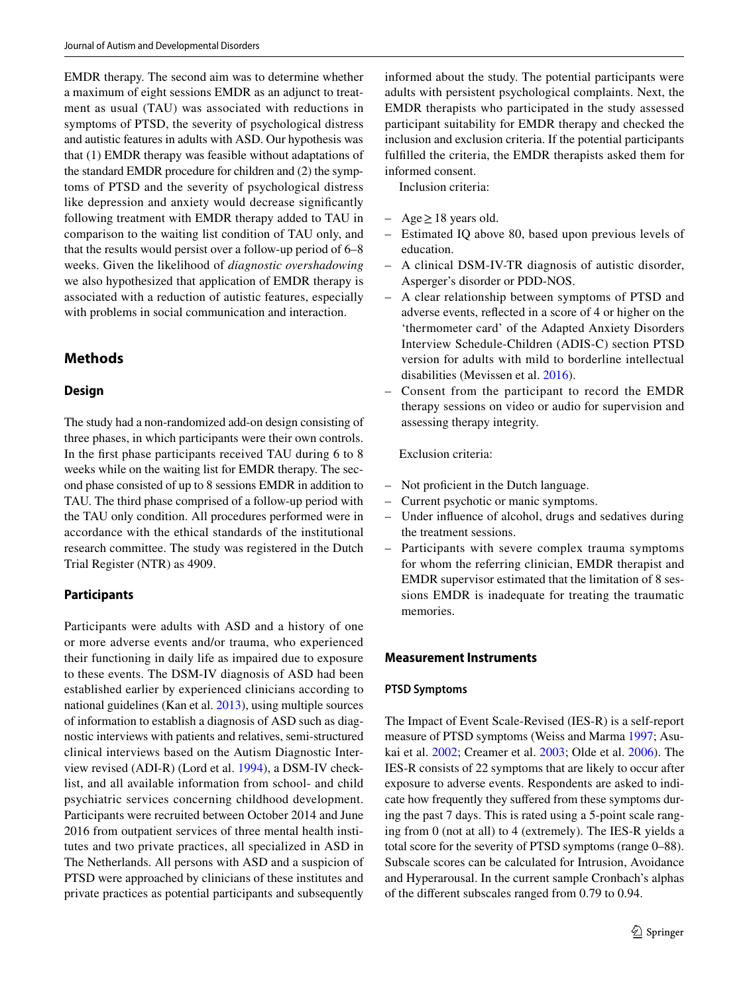EMDR therapy. The second aim was to determine whether a maximum of eight sessions EMDR as an adjunct to treatment as usual (TAU) was associated with reductions in symptoms of PTSD, the severity of psychological distress and autistic features in adults with ASD. Our hypothesis was that (1) EMDR therapy was feasible without adaptations of the standard EMDR procedure for children and (2) the symptoms of PTSD and the severity of psychological distress like depression and anxiety would decrease significantly following treatment with EMDR therapy added to TAU in comparison to the waiting list condition of TAU only, and that the results would persist over a follow-up period of 6–8 weeks. Given the likelihood of *diagnostic overshadowing* we also hypothesized that application of EMDR therapy is associated with a reduction of autistic features, especially with problems in social communication and interaction.

# **Methods**

### **Design**

The study had a non-randomized add-on design consisting of three phases, in which participants were their own controls. In the first phase participants received TAU during 6 to 8 weeks while on the waiting list for EMDR therapy. The second phase consisted of up to 8 sessions EMDR in addition to TAU. The third phase comprised of a follow-up period with the TAU only condition. All procedures performed were in accordance with the ethical standards of the institutional research committee. The study was registered in the Dutch Trial Register (NTR) as 4909.

### **Participants**

Participants were adults with ASD and a history of one or more adverse events and/or trauma, who experienced their functioning in daily life as impaired due to exposure to these events. The DSM-IV diagnosis of ASD had been established earlier by experienced clinicians according to national guidelines (Kan et al. [2013\)](#page-12-20), using multiple sources of information to establish a diagnosis of ASD such as diagnostic interviews with patients and relatives, semi-structured clinical interviews based on the Autism Diagnostic Interview revised (ADI-R) (Lord et al. [1994](#page-12-21)), a DSM-IV checklist, and all available information from school- and child psychiatric services concerning childhood development. Participants were recruited between October 2014 and June 2016 from outpatient services of three mental health institutes and two private practices, all specialized in ASD in The Netherlands. All persons with ASD and a suspicion of PTSD were approached by clinicians of these institutes and private practices as potential participants and subsequently informed about the study. The potential participants were adults with persistent psychological complaints. Next, the EMDR therapists who participated in the study assessed participant suitability for EMDR therapy and checked the inclusion and exclusion criteria. If the potential participants fulfilled the criteria, the EMDR therapists asked them for informed consent.

Inclusion criteria:

- Age  $≥18$  years old.
- Estimated IQ above 80, based upon previous levels of education.
- A clinical DSM-IV-TR diagnosis of autistic disorder, Asperger's disorder or PDD-NOS.
- A clear relationship between symptoms of PTSD and adverse events, reflected in a score of 4 or higher on the 'thermometer card' of the Adapted Anxiety Disorders Interview Schedule-Children (ADIS-C) section PTSD version for adults with mild to borderline intellectual disabilities (Mevissen et al. [2016](#page-12-22)).
- Consent from the participant to record the EMDR therapy sessions on video or audio for supervision and assessing therapy integrity.

Exclusion criteria:

- Not proficient in the Dutch language.
- Current psychotic or manic symptoms.
- Under influence of alcohol, drugs and sedatives during the treatment sessions.
- Participants with severe complex trauma symptoms for whom the referring clinician, EMDR therapist and EMDR supervisor estimated that the limitation of 8 sessions EMDR is inadequate for treating the traumatic memories.

#### **Measurement Instruments**

#### **PTSD Symptoms**

The Impact of Event Scale-Revised (IES-R) is a self-report measure of PTSD symptoms (Weiss and Marma [1997;](#page-13-10) Asukai et al. [2002;](#page-11-5) Creamer et al. [2003](#page-12-23); Olde et al. [2006\)](#page-13-11). The IES-R consists of 22 symptoms that are likely to occur after exposure to adverse events. Respondents are asked to indicate how frequently they suffered from these symptoms during the past 7 days. This is rated using a 5-point scale ranging from 0 (not at all) to 4 (extremely). The IES-R yields a total score for the severity of PTSD symptoms (range 0–88). Subscale scores can be calculated for Intrusion, Avoidance and Hyperarousal. In the current sample Cronbach's alphas of the different subscales ranged from 0.79 to 0.94.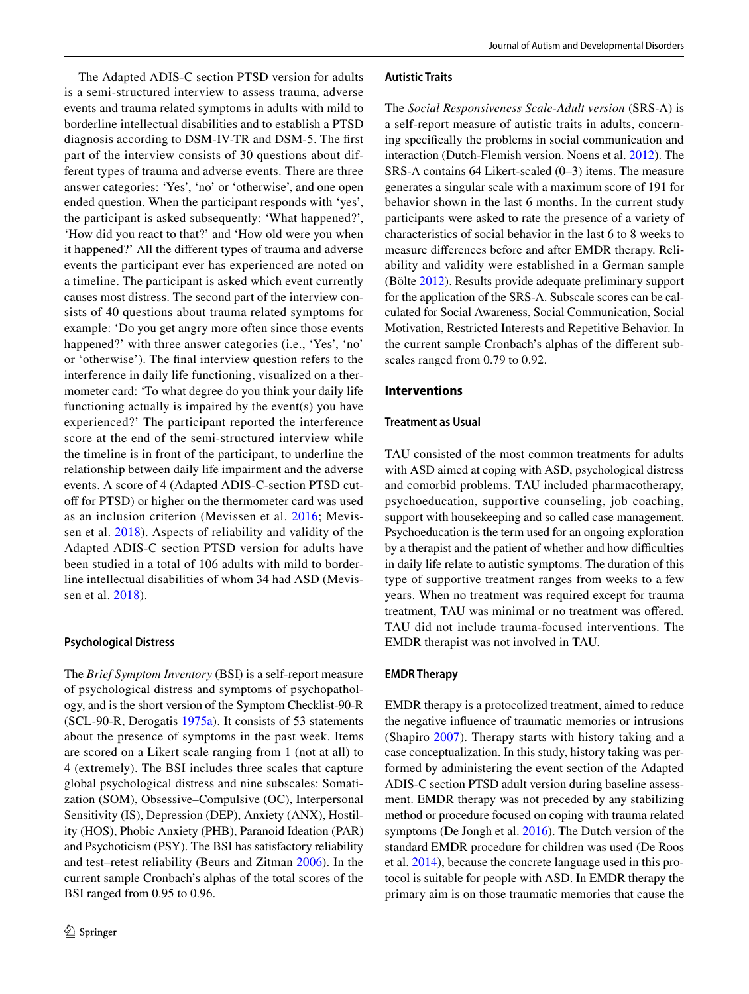The Adapted ADIS-C section PTSD version for adults is a semi-structured interview to assess trauma, adverse events and trauma related symptoms in adults with mild to borderline intellectual disabilities and to establish a PTSD diagnosis according to DSM-IV-TR and DSM-5. The first part of the interview consists of 30 questions about different types of trauma and adverse events. There are three answer categories: 'Yes', 'no' or 'otherwise', and one open ended question. When the participant responds with 'yes', the participant is asked subsequently: 'What happened?', 'How did you react to that?' and 'How old were you when it happened?' All the different types of trauma and adverse events the participant ever has experienced are noted on a timeline. The participant is asked which event currently causes most distress. The second part of the interview consists of 40 questions about trauma related symptoms for example: 'Do you get angry more often since those events happened?' with three answer categories (i.e., 'Yes', 'no' or 'otherwise'). The final interview question refers to the interference in daily life functioning, visualized on a thermometer card: 'To what degree do you think your daily life functioning actually is impaired by the event(s) you have experienced?' The participant reported the interference score at the end of the semi-structured interview while the timeline is in front of the participant, to underline the relationship between daily life impairment and the adverse events. A score of 4 (Adapted ADIS-C-section PTSD cutoff for PTSD) or higher on the thermometer card was used as an inclusion criterion (Mevissen et al. [2016](#page-12-22); Mevissen et al. [2018](#page-12-24)). Aspects of reliability and validity of the Adapted ADIS-C section PTSD version for adults have been studied in a total of 106 adults with mild to borderline intellectual disabilities of whom 34 had ASD (Mevissen et al. [2018](#page-12-24)).

#### **Psychological Distress**

The *Brief Symptom Inventory* (BSI) is a self-report measure of psychological distress and symptoms of psychopathology, and is the short version of the Symptom Checklist-90-R (SCL-90-R, Derogatis [1975a](#page-12-25)). It consists of 53 statements about the presence of symptoms in the past week. Items are scored on a Likert scale ranging from 1 (not at all) to 4 (extremely). The BSI includes three scales that capture global psychological distress and nine subscales: Somatization (SOM), Obsessive–Compulsive (OC), Interpersonal Sensitivity (IS), Depression (DEP), Anxiety (ANX), Hostility (HOS), Phobic Anxiety (PHB), Paranoid Ideation (PAR) and Psychoticism (PSY). The BSI has satisfactory reliability and test–retest reliability (Beurs and Zitman [2006](#page-11-6)). In the current sample Cronbach's alphas of the total scores of the BSI ranged from 0.95 to 0.96.

#### **Autistic Traits**

The *Social Responsiveness Scale-Adult version* (SRS-A) is a self-report measure of autistic traits in adults, concerning specifically the problems in social communication and interaction (Dutch-Flemish version. Noens et al. [2012\)](#page-13-12). The SRS-A contains 64 Likert-scaled (0–3) items. The measure generates a singular scale with a maximum score of 191 for behavior shown in the last 6 months. In the current study participants were asked to rate the presence of a variety of characteristics of social behavior in the last 6 to 8 weeks to measure differences before and after EMDR therapy. Reliability and validity were established in a German sample (Bölte [2012\)](#page-11-7). Results provide adequate preliminary support for the application of the SRS-A. Subscale scores can be calculated for Social Awareness, Social Communication, Social Motivation, Restricted Interests and Repetitive Behavior. In the current sample Cronbach's alphas of the different subscales ranged from 0.79 to 0.92.

### **Interventions**

#### **Treatment as Usual**

TAU consisted of the most common treatments for adults with ASD aimed at coping with ASD, psychological distress and comorbid problems. TAU included pharmacotherapy, psychoeducation, supportive counseling, job coaching, support with housekeeping and so called case management. Psychoeducation is the term used for an ongoing exploration by a therapist and the patient of whether and how difficulties in daily life relate to autistic symptoms. The duration of this type of supportive treatment ranges from weeks to a few years. When no treatment was required except for trauma treatment, TAU was minimal or no treatment was offered. TAU did not include trauma-focused interventions. The EMDR therapist was not involved in TAU.

#### **EMDR Therapy**

EMDR therapy is a protocolized treatment, aimed to reduce the negative influence of traumatic memories or intrusions (Shapiro [2007\)](#page-13-13). Therapy starts with history taking and a case conceptualization. In this study, history taking was performed by administering the event section of the Adapted ADIS-C section PTSD adult version during baseline assessment. EMDR therapy was not preceded by any stabilizing method or procedure focused on coping with trauma related symptoms (De Jongh et al. [2016\)](#page-12-26). The Dutch version of the standard EMDR procedure for children was used (De Roos et al. [2014\)](#page-12-19), because the concrete language used in this protocol is suitable for people with ASD. In EMDR therapy the primary aim is on those traumatic memories that cause the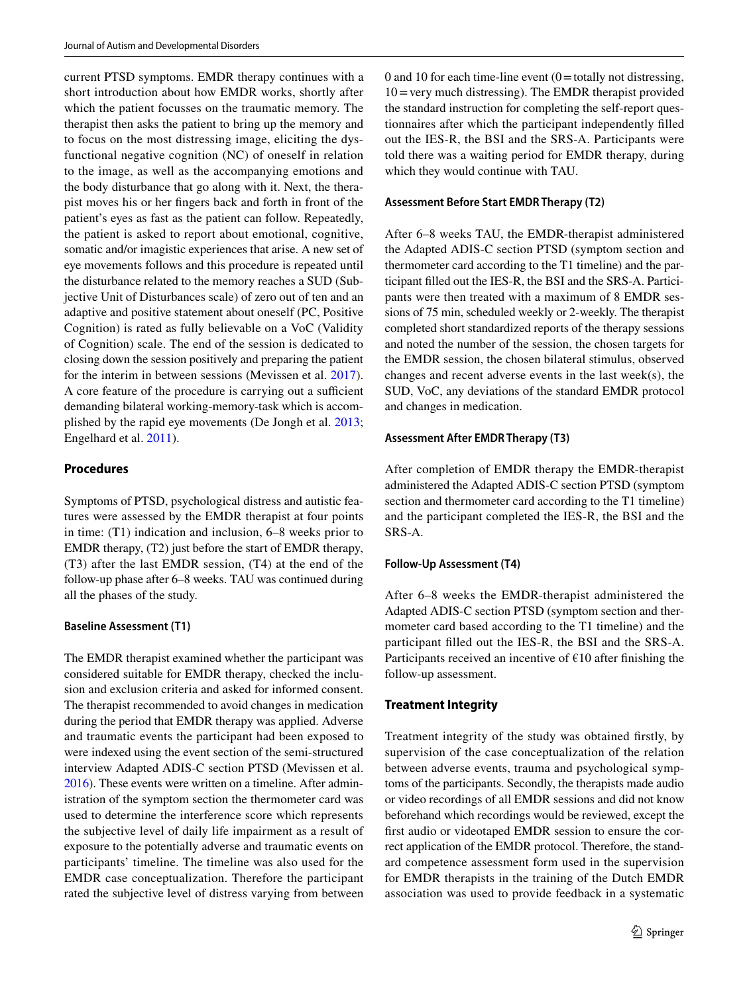current PTSD symptoms. EMDR therapy continues with a short introduction about how EMDR works, shortly after which the patient focusses on the traumatic memory. The therapist then asks the patient to bring up the memory and to focus on the most distressing image, eliciting the dysfunctional negative cognition (NC) of oneself in relation to the image, as well as the accompanying emotions and the body disturbance that go along with it. Next, the therapist moves his or her fingers back and forth in front of the patient's eyes as fast as the patient can follow. Repeatedly, the patient is asked to report about emotional, cognitive, somatic and/or imagistic experiences that arise. A new set of eye movements follows and this procedure is repeated until the disturbance related to the memory reaches a SUD (Subjective Unit of Disturbances scale) of zero out of ten and an adaptive and positive statement about oneself (PC, Positive Cognition) is rated as fully believable on a VoC (Validity of Cognition) scale. The end of the session is dedicated to closing down the session positively and preparing the patient for the interim in between sessions (Mevissen et al. [2017](#page-13-14)). A core feature of the procedure is carrying out a sufficient demanding bilateral working-memory-task which is accomplished by the rapid eye movements (De Jongh et al. [2013](#page-12-27); Engelhard et al. [2011\)](#page-12-28).

# **Procedures**

Symptoms of PTSD, psychological distress and autistic features were assessed by the EMDR therapist at four points in time: (T1) indication and inclusion, 6–8 weeks prior to EMDR therapy, (T2) just before the start of EMDR therapy, (T3) after the last EMDR session, (T4) at the end of the follow-up phase after 6–8 weeks. TAU was continued during all the phases of the study.

## **Baseline Assessment (T1)**

The EMDR therapist examined whether the participant was considered suitable for EMDR therapy, checked the inclusion and exclusion criteria and asked for informed consent. The therapist recommended to avoid changes in medication during the period that EMDR therapy was applied. Adverse and traumatic events the participant had been exposed to were indexed using the event section of the semi-structured interview Adapted ADIS-C section PTSD (Mevissen et al. [2016\)](#page-12-22). These events were written on a timeline. After administration of the symptom section the thermometer card was used to determine the interference score which represents the subjective level of daily life impairment as a result of exposure to the potentially adverse and traumatic events on participants' timeline. The timeline was also used for the EMDR case conceptualization. Therefore the participant rated the subjective level of distress varying from between 0 and 10 for each time-line event  $(0=$  totally not distressing,  $10 = \text{very much distresing}$ . The EMDR therapist provided the standard instruction for completing the self-report questionnaires after which the participant independently filled out the IES-R, the BSI and the SRS-A. Participants were told there was a waiting period for EMDR therapy, during which they would continue with TAU.

## **Assessment Before Start EMDR Therapy (T2)**

After 6–8 weeks TAU, the EMDR-therapist administered the Adapted ADIS-C section PTSD (symptom section and thermometer card according to the T1 timeline) and the participant filled out the IES-R, the BSI and the SRS-A. Participants were then treated with a maximum of 8 EMDR sessions of 75 min, scheduled weekly or 2-weekly. The therapist completed short standardized reports of the therapy sessions and noted the number of the session, the chosen targets for the EMDR session, the chosen bilateral stimulus, observed changes and recent adverse events in the last week(s), the SUD, VoC, any deviations of the standard EMDR protocol and changes in medication.

# **Assessment After EMDR Therapy (T3)**

After completion of EMDR therapy the EMDR-therapist administered the Adapted ADIS-C section PTSD (symptom section and thermometer card according to the T1 timeline) and the participant completed the IES-R, the BSI and the SRS-A.

## **Follow‑Up Assessment (T4)**

After 6–8 weeks the EMDR-therapist administered the Adapted ADIS-C section PTSD (symptom section and thermometer card based according to the T1 timeline) and the participant filled out the IES-R, the BSI and the SRS-A. Participants received an incentive of  $\epsilon$ 10 after finishing the follow-up assessment.

# **Treatment Integrity**

Treatment integrity of the study was obtained firstly, by supervision of the case conceptualization of the relation between adverse events, trauma and psychological symptoms of the participants. Secondly, the therapists made audio or video recordings of all EMDR sessions and did not know beforehand which recordings would be reviewed, except the first audio or videotaped EMDR session to ensure the correct application of the EMDR protocol. Therefore, the standard competence assessment form used in the supervision for EMDR therapists in the training of the Dutch EMDR association was used to provide feedback in a systematic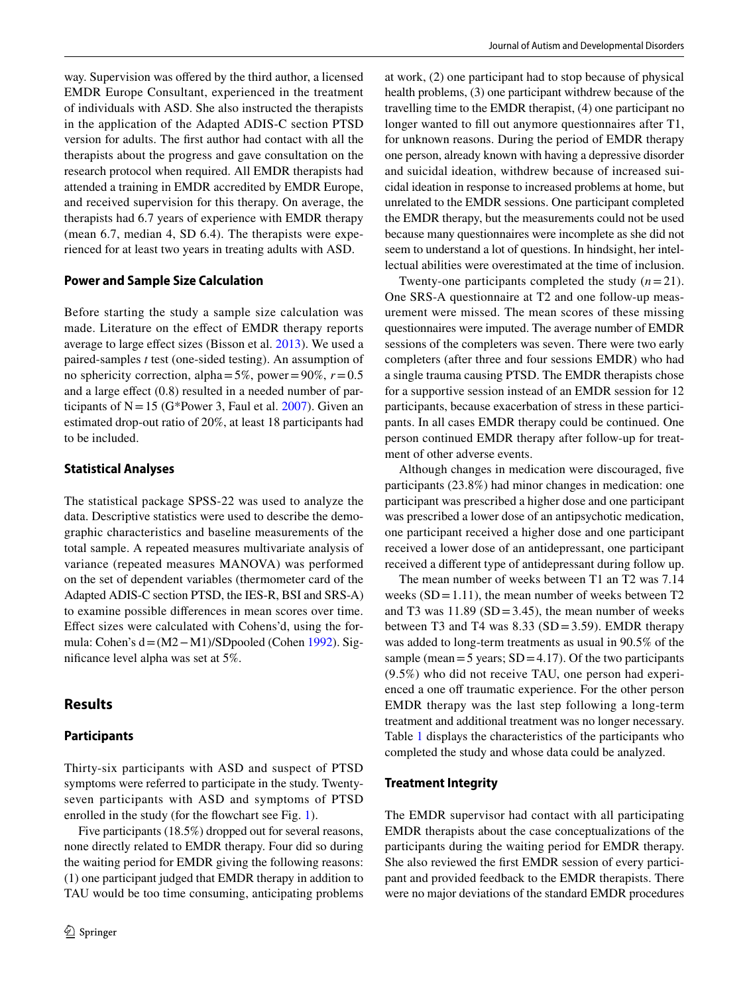way. Supervision was offered by the third author, a licensed EMDR Europe Consultant, experienced in the treatment of individuals with ASD. She also instructed the therapists in the application of the Adapted ADIS-C section PTSD version for adults. The first author had contact with all the therapists about the progress and gave consultation on the research protocol when required. All EMDR therapists had attended a training in EMDR accredited by EMDR Europe, and received supervision for this therapy. On average, the therapists had 6.7 years of experience with EMDR therapy (mean 6.7, median 4, SD 6.4). The therapists were experienced for at least two years in treating adults with ASD.

### **Power and Sample Size Calculation**

Before starting the study a sample size calculation was made. Literature on the effect of EMDR therapy reports average to large effect sizes (Bisson et al. [2013](#page-11-3)). We used a paired-samples *t* test (one-sided testing). An assumption of no sphericity correction, alpha=5%, power=90%,  $r=0.5$ and a large effect (0.8) resulted in a needed number of participants of  $N=15$  (G\*Power 3, Faul et al. [2007](#page-12-29)). Given an estimated drop-out ratio of 20%, at least 18 participants had to be included.

### **Statistical Analyses**

The statistical package SPSS-22 was used to analyze the data. Descriptive statistics were used to describe the demographic characteristics and baseline measurements of the total sample. A repeated measures multivariate analysis of variance (repeated measures MANOVA) was performed on the set of dependent variables (thermometer card of the Adapted ADIS-C section PTSD, the IES-R, BSI and SRS-A) to examine possible differences in mean scores over time. Effect sizes were calculated with Cohens'd, using the formula: Cohen's d=(M2−M1)/SDpooled (Cohen [1992\)](#page-12-30). Significance level alpha was set at 5%.

### **Results**

#### **Participants**

Thirty-six participants with ASD and suspect of PTSD symptoms were referred to participate in the study. Twentyseven participants with ASD and symptoms of PTSD enrolled in the study (for the flowchart see Fig. [1](#page-6-0)).

Five participants (18.5%) dropped out for several reasons, none directly related to EMDR therapy. Four did so during the waiting period for EMDR giving the following reasons: (1) one participant judged that EMDR therapy in addition to TAU would be too time consuming, anticipating problems at work, (2) one participant had to stop because of physical health problems, (3) one participant withdrew because of the travelling time to the EMDR therapist, (4) one participant no longer wanted to fill out anymore questionnaires after T1, for unknown reasons. During the period of EMDR therapy one person, already known with having a depressive disorder and suicidal ideation, withdrew because of increased suicidal ideation in response to increased problems at home, but unrelated to the EMDR sessions. One participant completed the EMDR therapy, but the measurements could not be used because many questionnaires were incomplete as she did not seem to understand a lot of questions. In hindsight, her intellectual abilities were overestimated at the time of inclusion.

Twenty-one participants completed the study  $(n=21)$ . One SRS-A questionnaire at T2 and one follow-up measurement were missed. The mean scores of these missing questionnaires were imputed. The average number of EMDR sessions of the completers was seven. There were two early completers (after three and four sessions EMDR) who had a single trauma causing PTSD. The EMDR therapists chose for a supportive session instead of an EMDR session for 12 participants, because exacerbation of stress in these participants. In all cases EMDR therapy could be continued. One person continued EMDR therapy after follow-up for treatment of other adverse events.

Although changes in medication were discouraged, five participants (23.8%) had minor changes in medication: one participant was prescribed a higher dose and one participant was prescribed a lower dose of an antipsychotic medication, one participant received a higher dose and one participant received a lower dose of an antidepressant, one participant received a different type of antidepressant during follow up.

The mean number of weeks between T1 an T2 was 7.14 weeks  $(SD=1.11)$ , the mean number of weeks between T2 and T3 was  $11.89$  (SD = 3.45), the mean number of weeks between T3 and T4 was  $8.33$  (SD=3.59). EMDR therapy was added to long-term treatments as usual in 90.5% of the sample (mean=5 years;  $SD = 4.17$ ). Of the two participants (9.5%) who did not receive TAU, one person had experienced a one off traumatic experience. For the other person EMDR therapy was the last step following a long-term treatment and additional treatment was no longer necessary. Table [1](#page-7-0) displays the characteristics of the participants who completed the study and whose data could be analyzed.

#### **Treatment Integrity**

The EMDR supervisor had contact with all participating EMDR therapists about the case conceptualizations of the participants during the waiting period for EMDR therapy. She also reviewed the first EMDR session of every participant and provided feedback to the EMDR therapists. There were no major deviations of the standard EMDR procedures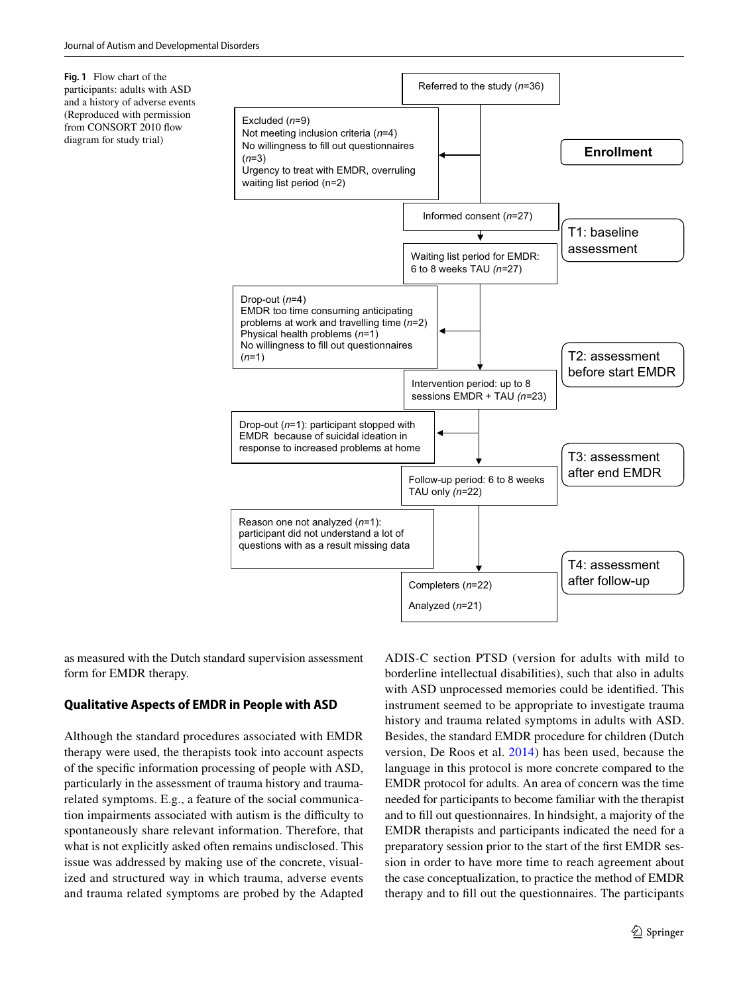<span id="page-6-0"></span>**Fig. 1** Flow chart of the participants: adults with ASD and a history of adverse events (Reproduced with permission from CONSORT 2010 flow diagram for study trial)



as measured with the Dutch standard supervision assessment form for EMDR therapy.

### **Qualitative Aspects of EMDR in People with ASD**

Although the standard procedures associated with EMDR therapy were used, the therapists took into account aspects of the specific information processing of people with ASD, particularly in the assessment of trauma history and traumarelated symptoms. E.g., a feature of the social communication impairments associated with autism is the difficulty to spontaneously share relevant information. Therefore, that what is not explicitly asked often remains undisclosed. This issue was addressed by making use of the concrete, visualized and structured way in which trauma, adverse events and trauma related symptoms are probed by the Adapted

ADIS-C section PTSD (version for adults with mild to borderline intellectual disabilities), such that also in adults with ASD unprocessed memories could be identified. This instrument seemed to be appropriate to investigate trauma history and trauma related symptoms in adults with ASD. Besides, the standard EMDR procedure for children (Dutch version, De Roos et al. [2014](#page-12-19)) has been used, because the language in this protocol is more concrete compared to the EMDR protocol for adults. An area of concern was the time needed for participants to become familiar with the therapist and to fill out questionnaires. In hindsight, a majority of the EMDR therapists and participants indicated the need for a preparatory session prior to the start of the first EMDR session in order to have more time to reach agreement about the case conceptualization, to practice the method of EMDR therapy and to fill out the questionnaires. The participants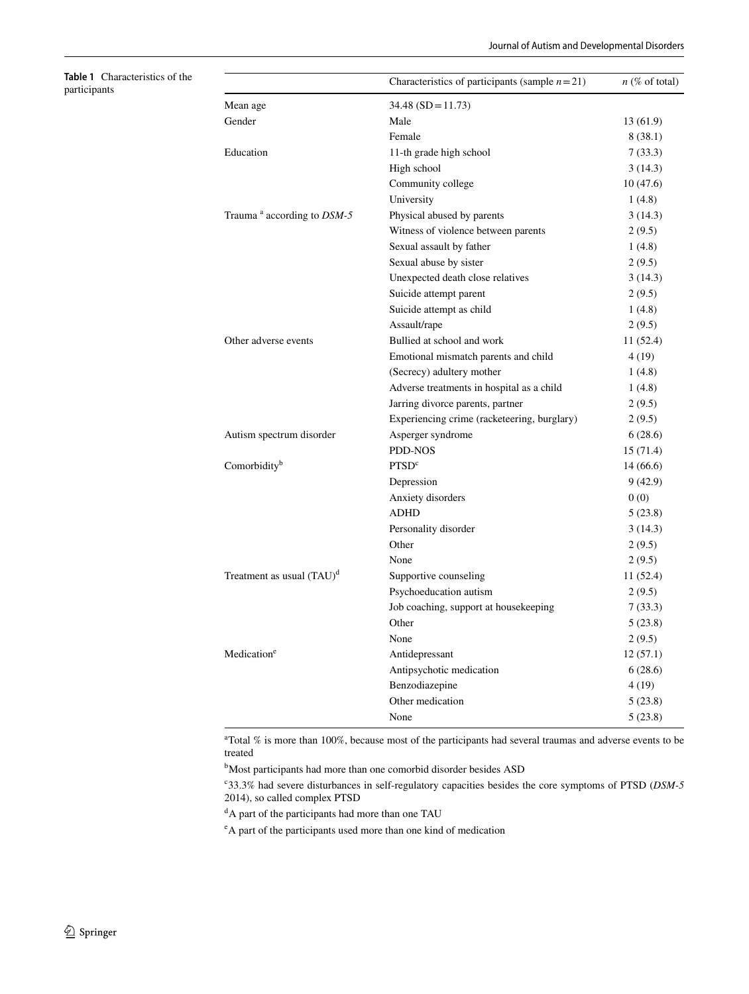<span id="page-7-0"></span>

| Table 1 Characteristics of the<br>participants |                                        | Characteristics of participants (sample $n = 21$ ) | $n$ (% of total) |
|------------------------------------------------|----------------------------------------|----------------------------------------------------|------------------|
|                                                | Mean age                               | $34.48$ (SD = 11.73)                               |                  |
|                                                | Gender                                 | Male                                               | 13(61.9)         |
|                                                |                                        | Female                                             | 8(38.1)          |
|                                                | Education                              | 11-th grade high school                            | 7(33.3)          |
|                                                |                                        | High school                                        | 3(14.3)          |
|                                                |                                        | Community college                                  | 10(47.6)         |
|                                                |                                        | University                                         | 1(4.8)           |
|                                                | Trauma <sup>a</sup> according to DSM-5 | Physical abused by parents                         | 3(14.3)          |
|                                                |                                        | Witness of violence between parents                | 2(9.5)           |
|                                                |                                        | Sexual assault by father                           | 1(4.8)           |
|                                                |                                        | Sexual abuse by sister                             | 2(9.5)           |
|                                                |                                        | Unexpected death close relatives                   | 3(14.3)          |
|                                                |                                        | Suicide attempt parent                             | 2(9.5)           |
|                                                |                                        | Suicide attempt as child                           | 1(4.8)           |
|                                                |                                        | Assault/rape                                       | 2(9.5)           |
|                                                | Other adverse events                   | Bullied at school and work                         | 11 (52.4)        |
|                                                |                                        | Emotional mismatch parents and child               | 4(19)            |
|                                                |                                        | (Secrecy) adultery mother                          | 1(4.8)           |
|                                                |                                        | Adverse treatments in hospital as a child          | 1(4.8)           |
|                                                |                                        | Jarring divorce parents, partner                   | 2(9.5)           |
|                                                |                                        | Experiencing crime (racketeering, burglary)        | 2(9.5)           |
|                                                | Autism spectrum disorder               | Asperger syndrome                                  | 6(28.6)          |
|                                                |                                        | PDD-NOS                                            | 15(71.4)         |
|                                                | Comorbidity <sup>b</sup>               | PTSD <sup>c</sup>                                  | 14(66.6)         |
|                                                |                                        | Depression                                         | 9(42.9)          |
|                                                |                                        | Anxiety disorders                                  | 0(0)             |
|                                                |                                        | <b>ADHD</b>                                        | 5(23.8)          |
|                                                |                                        | Personality disorder                               | 3(14.3)          |
|                                                |                                        | Other                                              | 2(9.5)           |
|                                                |                                        | None                                               | 2(9.5)           |
|                                                | Treatment as usual $(TAU)^d$           | Supportive counseling                              | 11 (52.4)        |
|                                                |                                        | Psychoeducation autism                             | 2(9.5)           |
|                                                |                                        | Job coaching, support at housekeeping              | 7(33.3)          |
|                                                |                                        | Other                                              | 5(23.8)          |
|                                                |                                        | None                                               | 2(9.5)           |
|                                                | Medication <sup>e</sup>                | Antidepressant                                     | 12(57.1)         |
|                                                |                                        | Antipsychotic medication                           | 6(28.6)          |
|                                                |                                        | Benzodiazepine                                     | 4(19)            |
|                                                |                                        | Other medication                                   | 5(23.8)          |
|                                                |                                        | None                                               | 5(23.8)          |

<sup>a</sup>Total % is more than 100%, because most of the participants had several traumas and adverse events to be treated

b Most participants had more than one comorbid disorder besides ASD

c 33.3% had severe disturbances in self-regulatory capacities besides the core symptoms of PTSD (*DSM-5* 2014), so called complex PTSD

<sup>d</sup>A part of the participants had more than one TAU

e A part of the participants used more than one kind of medication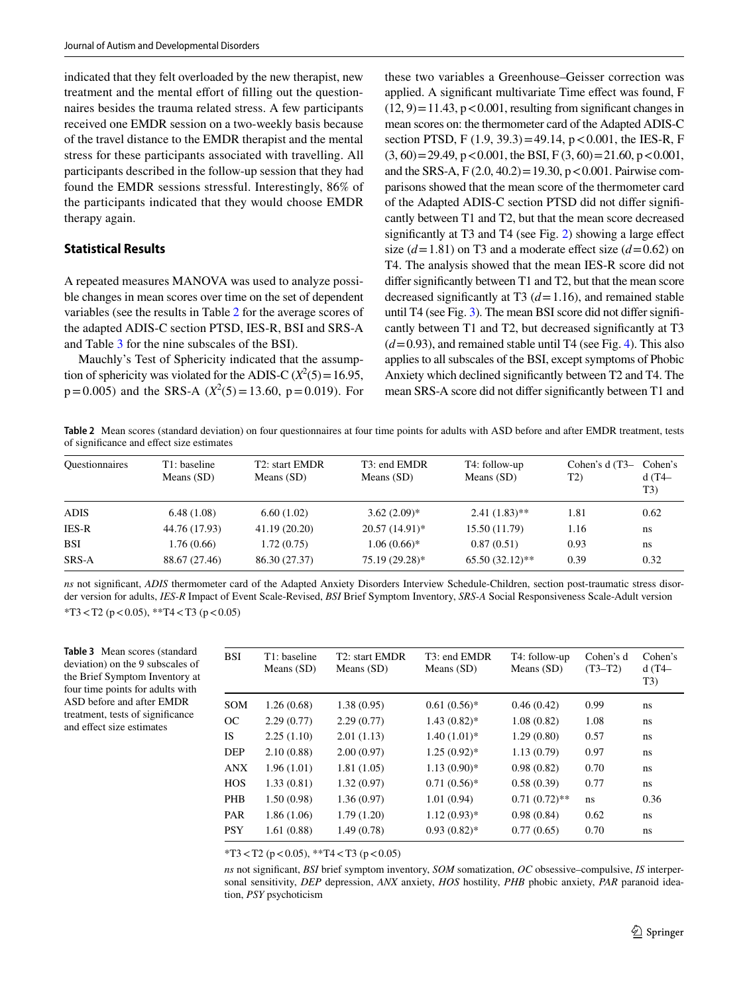indicated that they felt overloaded by the new therapist, new treatment and the mental effort of filling out the questionnaires besides the trauma related stress. A few participants received one EMDR session on a two-weekly basis because of the travel distance to the EMDR therapist and the mental stress for these participants associated with travelling. All participants described in the follow-up session that they had found the EMDR sessions stressful. Interestingly, 86% of the participants indicated that they would choose EMDR therapy again.

## **Statistical Results**

A repeated measures MANOVA was used to analyze possible changes in mean scores over time on the set of dependent variables (see the results in Table [2](#page-8-0) for the average scores of the adapted ADIS-C section PTSD, IES-R, BSI and SRS-A and Table [3](#page-8-1) for the nine subscales of the BSI).

Mauchly's Test of Sphericity indicated that the assumption of sphericity was violated for the ADIS-C  $(X^2(5) = 16.95$ ,  $p=0.005$ ) and the SRS-A  $(X^2(5)=13.60, p=0.019)$ . For these two variables a Greenhouse–Geisser correction was applied. A significant multivariate Time effect was found, F  $(12, 9) = 11.43$ , p < 0.001, resulting from significant changes in mean scores on: the thermometer card of the Adapted ADIS-C section PTSD, F  $(1.9, 39.3) = 49.14$ , p < 0.001, the IES-R, F  $(3, 60) = 29.49$ , p < 0.001, the BSI, F  $(3, 60) = 21.60$ , p < 0.001, and the SRS-A,  $F(2.0, 40.2) = 19.30$ ,  $p < 0.001$ . Pairwise comparisons showed that the mean score of the thermometer card of the Adapted ADIS-C section PTSD did not differ significantly between T1 and T2, but that the mean score decreased significantly at T3 and T4 (see Fig. [2](#page-9-0)) showing a large effect size  $(d=1.81)$  on T3 and a moderate effect size  $(d=0.62)$  on T4. The analysis showed that the mean IES-R score did not differ significantly between T1 and T2, but that the mean score decreased significantly at T3 (*d*=1.16), and remained stable until T4 (see Fig. [3](#page-9-1)). The mean BSI score did not differ significantly between T1 and T2, but decreased significantly at T3  $(d=0.93)$ , and remained stable until T4 (see Fig. [4](#page-9-2)). This also applies to all subscales of the BSI, except symptoms of Phobic Anxiety which declined significantly between T2 and T4. The mean SRS-A score did not differ significantly between T1 and

<span id="page-8-0"></span>**Table 2** Mean scores (standard deviation) on four questionnaires at four time points for adults with ASD before and after EMDR treatment, tests of significance and effect size estimates

| <b>Ouestionnaires</b> | T1: baseline<br>Means $(SD)$ | T <sub>2</sub> : start EMDR<br>Means $(SD)$ | T3: end EMDR<br>Means (SD) | T4: follow-up<br>Means $(SD)$ | Cohen's $d(T3-$<br>T2) | Cohen's<br>$d(T4-$<br>T3) |
|-----------------------|------------------------------|---------------------------------------------|----------------------------|-------------------------------|------------------------|---------------------------|
| <b>ADIS</b>           | 6.48(1.08)                   | 6.60(1.02)                                  | $3.62(2.09)^*$             | $2.41(1.83)$ **               | 1.81                   | 0.62                      |
| IES-R                 | 44.76 (17.93)                | 41.19(20.20)                                | $20.57(14.91)^*$           | 15.50 (11.79)                 | 1.16                   | ns                        |
| <b>BSI</b>            | 1.76 (0.66)                  | 1.72(0.75)                                  | $1.06(0.66)*$              | 0.87(0.51)                    | 0.93                   | ns                        |
| SRS-A                 | 88.67 (27.46)                | 86.30 (27.37)                               | 75.19 (29.28)*             | $65.50(32.12)$ **             | 0.39                   | 0.32                      |

*ns* not significant, *ADIS* thermometer card of the Adapted Anxiety Disorders Interview Schedule-Children, section post-traumatic stress disorder version for adults, *IES-R* Impact of Event Scale-Revised, *BSI* Brief Symptom Inventory, *SRS-A* Social Responsiveness Scale-Adult version \*T3<T2 (p<0.05), \*\*T4<T3 (p<0.05)

<span id="page-8-1"></span>**Table 3** Mean scores (standard deviation) on the 9 subscales of the Brief Symptom Inventory at four time points for adults with ASD before and after EMDR treatment, tests of significance and effect size estimates

| <b>BSI</b> | T1: baseline<br>Means $(SD)$ | T <sub>2</sub> : start EMDR<br>Means (SD) | T3: end EMDR<br>Means $(SD)$ | T4: follow-up<br>Means $(SD)$ | Cohen's d<br>$(T3-T2)$ | Cohen's<br>$d(T4-$<br>T3) |
|------------|------------------------------|-------------------------------------------|------------------------------|-------------------------------|------------------------|---------------------------|
| <b>SOM</b> | 1.26(0.68)                   | 1.38(0.95)                                | $0.61(0.56)$ *               | 0.46(0.42)                    | 0.99                   | ns.                       |
| OC         | 2.29(0.77)                   | 2.29(0.77)                                | $1.43(0.82)$ *               | 1.08(0.82)                    | 1.08                   | ns.                       |
| <b>IS</b>  | 2.25(1.10)                   | 2.01(1.13)                                | $1.40(1.01)*$                | 1.29(0.80)                    | 0.57                   | ns.                       |
| <b>DEP</b> | 2.10(0.88)                   | 2.00(0.97)                                | $1.25(0.92)$ *               | 1.13(0.79)                    | 0.97                   | ns.                       |
| <b>ANX</b> | 1.96(1.01)                   | 1.81(1.05)                                | $1.13(0.90)*$                | 0.98(0.82)                    | 0.70                   | ns.                       |
| <b>HOS</b> | 1.33(0.81)                   | 1.32(0.97)                                | $0.71(0.56)$ *               | 0.58(0.39)                    | 0.77                   | ns.                       |
| <b>PHB</b> | 1.50(0.98)                   | 1.36(0.97)                                | 1.01(0.94)                   | $0.71(0.72)$ **               | ns.                    | 0.36                      |
| <b>PAR</b> | 1.86(1.06)                   | 1.79(1.20)                                | $1.12(0.93)*$                | 0.98(0.84)                    | 0.62                   | ns.                       |
| <b>PSY</b> | 1.61(0.88)                   | 1.49(0.78)                                | $0.93(0.82)$ *               | 0.77(0.65)                    | 0.70                   | ns                        |

\*T3<T2 (p<0.05), \*\*T4<T3 (p<0.05)

*ns* not significant, *BSI* brief symptom inventory, *SOM* somatization, *OC* obsessive–compulsive, *IS* interpersonal sensitivity, *DEP* depression, *ANX* anxiety, *HOS* hostility, *PHB* phobic anxiety, *PAR* paranoid ideation, *PSY* psychoticism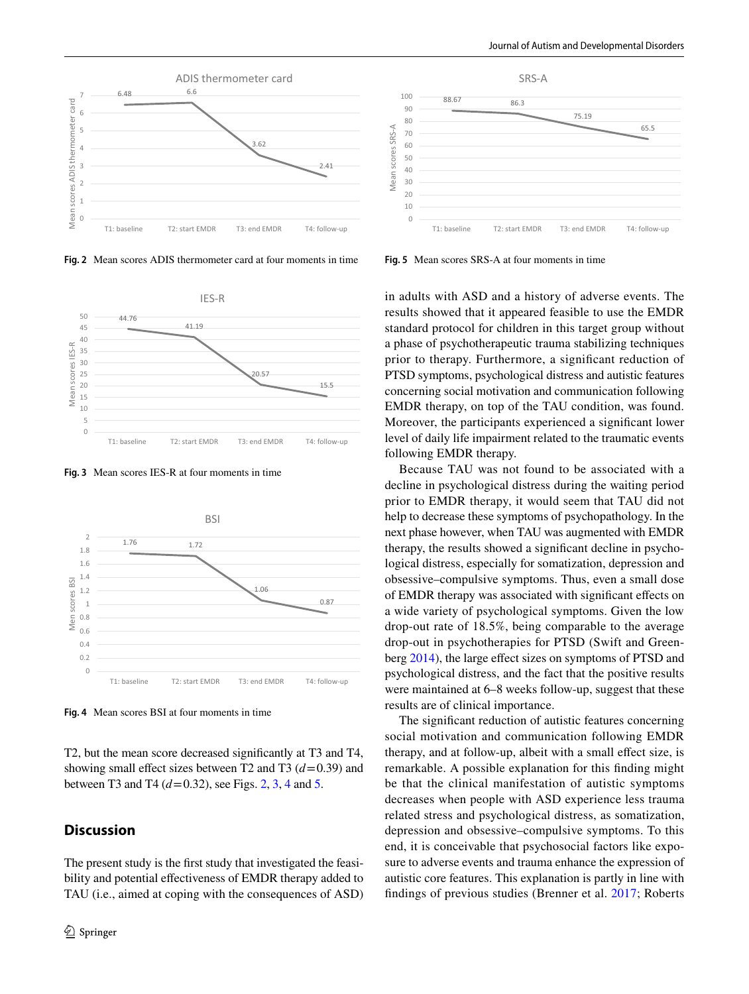

<span id="page-9-0"></span>**Fig. 2** Mean scores ADIS thermometer card at four moments in time



<span id="page-9-1"></span>



<span id="page-9-2"></span>**Fig. 4** Mean scores BSI at four moments in time

T2, but the mean score decreased significantly at T3 and T4, showing small effect sizes between T2 and T3 (*d*=0.39) and between T3 and T4 (*d*=0.32), see Figs. [2](#page-9-0), [3,](#page-9-1) [4](#page-9-2) and [5.](#page-9-3)

# **Discussion**

The present study is the first study that investigated the feasibility and potential effectiveness of EMDR therapy added to TAU (i.e., aimed at coping with the consequences of ASD)



<span id="page-9-3"></span>**Fig. 5** Mean scores SRS-A at four moments in time

in adults with ASD and a history of adverse events. The results showed that it appeared feasible to use the EMDR standard protocol for children in this target group without a phase of psychotherapeutic trauma stabilizing techniques prior to therapy. Furthermore, a significant reduction of PTSD symptoms, psychological distress and autistic features concerning social motivation and communication following EMDR therapy, on top of the TAU condition, was found. Moreover, the participants experienced a significant lower level of daily life impairment related to the traumatic events following EMDR therapy.

Because TAU was not found to be associated with a decline in psychological distress during the waiting period prior to EMDR therapy, it would seem that TAU did not help to decrease these symptoms of psychopathology. In the next phase however, when TAU was augmented with EMDR therapy, the results showed a significant decline in psychological distress, especially for somatization, depression and obsessive–compulsive symptoms. Thus, even a small dose of EMDR therapy was associated with significant effects on a wide variety of psychological symptoms. Given the low drop-out rate of 18.5%, being comparable to the average drop-out in psychotherapies for PTSD (Swift and Greenberg [2014](#page-13-15)), the large effect sizes on symptoms of PTSD and psychological distress, and the fact that the positive results were maintained at 6–8 weeks follow-up, suggest that these results are of clinical importance.

The significant reduction of autistic features concerning social motivation and communication following EMDR therapy, and at follow-up, albeit with a small effect size, is remarkable. A possible explanation for this finding might be that the clinical manifestation of autistic symptoms decreases when people with ASD experience less trauma related stress and psychological distress, as somatization, depression and obsessive–compulsive symptoms. To this end, it is conceivable that psychosocial factors like exposure to adverse events and trauma enhance the expression of autistic core features. This explanation is partly in line with findings of previous studies (Brenner et al. [2017;](#page-11-2) Roberts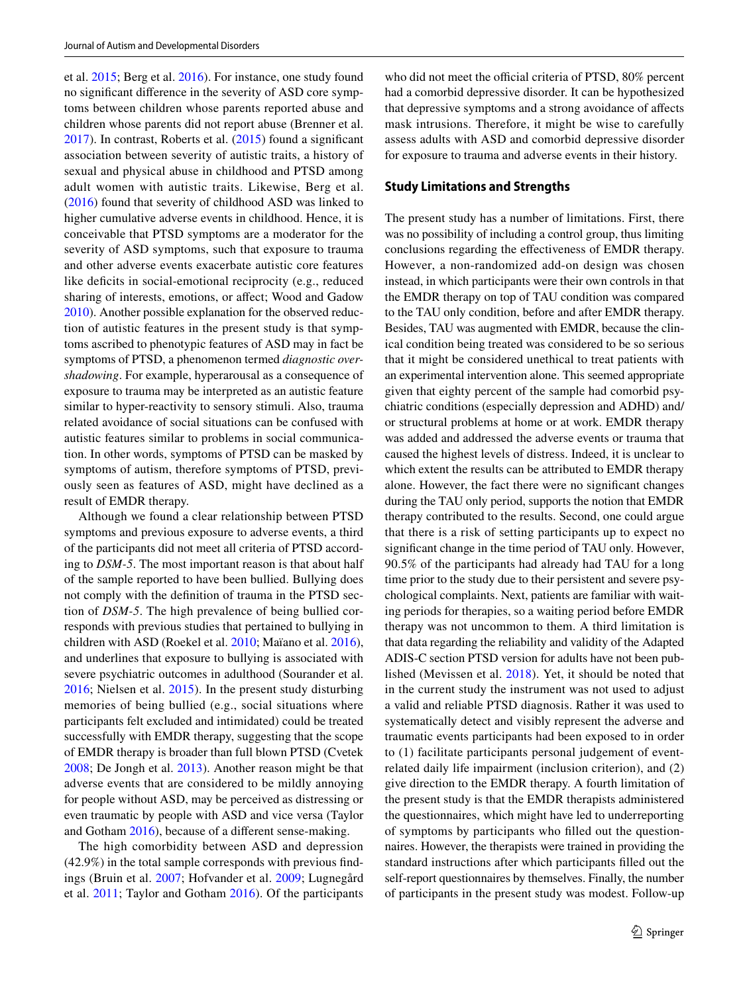et al. [2015](#page-13-0); Berg et al. [2016](#page-11-1)). For instance, one study found no significant difference in the severity of ASD core symptoms between children whose parents reported abuse and children whose parents did not report abuse (Brenner et al. [2017](#page-11-2)). In contrast, Roberts et al. ([2015\)](#page-13-0) found a significant association between severity of autistic traits, a history of sexual and physical abuse in childhood and PTSD among adult women with autistic traits. Likewise, Berg et al. [\(2016\)](#page-11-1) found that severity of childhood ASD was linked to higher cumulative adverse events in childhood. Hence, it is conceivable that PTSD symptoms are a moderator for the severity of ASD symptoms, such that exposure to trauma and other adverse events exacerbate autistic core features like deficits in social-emotional reciprocity (e.g., reduced sharing of interests, emotions, or affect; Wood and Gadow [2010\)](#page-13-1). Another possible explanation for the observed reduction of autistic features in the present study is that symptoms ascribed to phenotypic features of ASD may in fact be symptoms of PTSD, a phenomenon termed *diagnostic overshadowing*. For example, hyperarousal as a consequence of exposure to trauma may be interpreted as an autistic feature similar to hyper-reactivity to sensory stimuli. Also, trauma related avoidance of social situations can be confused with autistic features similar to problems in social communication. In other words, symptoms of PTSD can be masked by symptoms of autism, therefore symptoms of PTSD, previously seen as features of ASD, might have declined as a result of EMDR therapy.

Although we found a clear relationship between PTSD symptoms and previous exposure to adverse events, a third of the participants did not meet all criteria of PTSD according to *DSM-5*. The most important reason is that about half of the sample reported to have been bullied. Bullying does not comply with the definition of trauma in the PTSD section of *DSM-5*. The high prevalence of being bullied corresponds with previous studies that pertained to bullying in children with ASD (Roekel et al. [2010;](#page-13-16) Maïano et al. [2016](#page-12-31)), and underlines that exposure to bullying is associated with severe psychiatric outcomes in adulthood (Sourander et al. [2016](#page-13-17); Nielsen et al. [2015\)](#page-13-18). In the present study disturbing memories of being bullied (e.g., social situations where participants felt excluded and intimidated) could be treated successfully with EMDR therapy, suggesting that the scope of EMDR therapy is broader than full blown PTSD (Cvetek [2008](#page-12-32); De Jongh et al. [2013](#page-12-27)). Another reason might be that adverse events that are considered to be mildly annoying for people without ASD, may be perceived as distressing or even traumatic by people with ASD and vice versa (Taylor and Gotham [2016](#page-13-3)), because of a different sense-making.

The high comorbidity between ASD and depression (42.9%) in the total sample corresponds with previous findings (Bruin et al. [2007](#page-12-11); Hofvander et al. [2009;](#page-12-12) Lugnegård et al. [2011](#page-12-13); Taylor and Gotham [2016](#page-13-3)). Of the participants

who did not meet the official criteria of PTSD, 80% percent had a comorbid depressive disorder. It can be hypothesized that depressive symptoms and a strong avoidance of affects mask intrusions. Therefore, it might be wise to carefully assess adults with ASD and comorbid depressive disorder for exposure to trauma and adverse events in their history.

#### **Study Limitations and Strengths**

The present study has a number of limitations. First, there was no possibility of including a control group, thus limiting conclusions regarding the effectiveness of EMDR therapy. However, a non-randomized add-on design was chosen instead, in which participants were their own controls in that the EMDR therapy on top of TAU condition was compared to the TAU only condition, before and after EMDR therapy. Besides, TAU was augmented with EMDR, because the clinical condition being treated was considered to be so serious that it might be considered unethical to treat patients with an experimental intervention alone. This seemed appropriate given that eighty percent of the sample had comorbid psychiatric conditions (especially depression and ADHD) and/ or structural problems at home or at work. EMDR therapy was added and addressed the adverse events or trauma that caused the highest levels of distress. Indeed, it is unclear to which extent the results can be attributed to EMDR therapy alone. However, the fact there were no significant changes during the TAU only period, supports the notion that EMDR therapy contributed to the results. Second, one could argue that there is a risk of setting participants up to expect no significant change in the time period of TAU only. However, 90.5% of the participants had already had TAU for a long time prior to the study due to their persistent and severe psychological complaints. Next, patients are familiar with waiting periods for therapies, so a waiting period before EMDR therapy was not uncommon to them. A third limitation is that data regarding the reliability and validity of the Adapted ADIS-C section PTSD version for adults have not been published (Mevissen et al. [2018](#page-12-24)). Yet, it should be noted that in the current study the instrument was not used to adjust a valid and reliable PTSD diagnosis. Rather it was used to systematically detect and visibly represent the adverse and traumatic events participants had been exposed to in order to (1) facilitate participants personal judgement of eventrelated daily life impairment (inclusion criterion), and (2) give direction to the EMDR therapy. A fourth limitation of the present study is that the EMDR therapists administered the questionnaires, which might have led to underreporting of symptoms by participants who filled out the questionnaires. However, the therapists were trained in providing the standard instructions after which participants filled out the self-report questionnaires by themselves. Finally, the number of participants in the present study was modest. Follow-up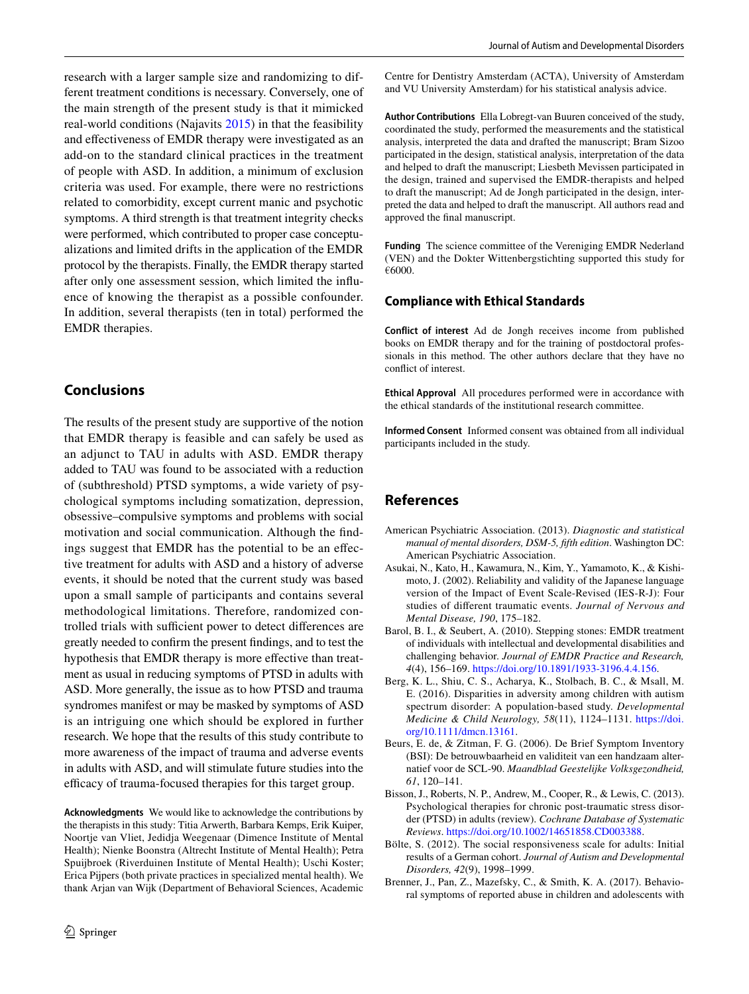research with a larger sample size and randomizing to different treatment conditions is necessary. Conversely, one of the main strength of the present study is that it mimicked real-world conditions (Najavits [2015\)](#page-13-19) in that the feasibility and effectiveness of EMDR therapy were investigated as an add-on to the standard clinical practices in the treatment of people with ASD. In addition, a minimum of exclusion criteria was used. For example, there were no restrictions related to comorbidity, except current manic and psychotic symptoms. A third strength is that treatment integrity checks were performed, which contributed to proper case conceptualizations and limited drifts in the application of the EMDR protocol by the therapists. Finally, the EMDR therapy started after only one assessment session, which limited the influence of knowing the therapist as a possible confounder. In addition, several therapists (ten in total) performed the EMDR therapies.

# **Conclusions**

The results of the present study are supportive of the notion that EMDR therapy is feasible and can safely be used as an adjunct to TAU in adults with ASD. EMDR therapy added to TAU was found to be associated with a reduction of (subthreshold) PTSD symptoms, a wide variety of psychological symptoms including somatization, depression, obsessive–compulsive symptoms and problems with social motivation and social communication. Although the findings suggest that EMDR has the potential to be an effective treatment for adults with ASD and a history of adverse events, it should be noted that the current study was based upon a small sample of participants and contains several methodological limitations. Therefore, randomized controlled trials with sufficient power to detect differences are greatly needed to confirm the present findings, and to test the hypothesis that EMDR therapy is more effective than treatment as usual in reducing symptoms of PTSD in adults with ASD. More generally, the issue as to how PTSD and trauma syndromes manifest or may be masked by symptoms of ASD is an intriguing one which should be explored in further research. We hope that the results of this study contribute to more awareness of the impact of trauma and adverse events in adults with ASD, and will stimulate future studies into the efficacy of trauma-focused therapies for this target group.

**Acknowledgments** We would like to acknowledge the contributions by the therapists in this study: Titia Arwerth, Barbara Kemps, Erik Kuiper, Noortje van Vliet, Jedidja Weegenaar (Dimence Institute of Mental Health); Nienke Boonstra (Altrecht Institute of Mental Health); Petra Spuijbroek (Riverduinen Institute of Mental Health); Uschi Koster; Erica Pijpers (both private practices in specialized mental health). We thank Arjan van Wijk (Department of Behavioral Sciences, Academic

Centre for Dentistry Amsterdam (ACTA), University of Amsterdam and VU University Amsterdam) for his statistical analysis advice.

**Author Contributions** Ella Lobregt-van Buuren conceived of the study, coordinated the study, performed the measurements and the statistical analysis, interpreted the data and drafted the manuscript; Bram Sizoo participated in the design, statistical analysis, interpretation of the data and helped to draft the manuscript; Liesbeth Mevissen participated in the design, trained and supervised the EMDR-therapists and helped to draft the manuscript; Ad de Jongh participated in the design, interpreted the data and helped to draft the manuscript. All authors read and approved the final manuscript.

**Funding** The science committee of the Vereniging EMDR Nederland (VEN) and the Dokter Wittenbergstichting supported this study for €6000.

### **Compliance with Ethical Standards**

**Conflict of interest** Ad de Jongh receives income from published books on EMDR therapy and for the training of postdoctoral professionals in this method. The other authors declare that they have no conflict of interest.

**Ethical Approval** All procedures performed were in accordance with the ethical standards of the institutional research committee.

**Informed Consent** Informed consent was obtained from all individual participants included in the study.

# **References**

- <span id="page-11-0"></span>American Psychiatric Association. (2013). *Diagnostic and statistical manual of mental disorders, DSM-5, fifth edition*. Washington DC: American Psychiatric Association.
- <span id="page-11-5"></span>Asukai, N., Kato, H., Kawamura, N., Kim, Y., Yamamoto, K., & Kishimoto, J. (2002). Reliability and validity of the Japanese language version of the Impact of Event Scale-Revised (IES-R-J): Four studies of different traumatic events. *Journal of Nervous and Mental Disease, 190*, 175–182.
- <span id="page-11-4"></span>Barol, B. I., & Seubert, A. (2010). Stepping stones: EMDR treatment of individuals with intellectual and developmental disabilities and challenging behavior. *Journal of EMDR Practice and Research, 4*(4), 156–169.<https://doi.org/10.1891/1933-3196.4.4.156>.
- <span id="page-11-1"></span>Berg, K. L., Shiu, C. S., Acharya, K., Stolbach, B. C., & Msall, M. E. (2016). Disparities in adversity among children with autism spectrum disorder: A population-based study. *Developmental Medicine & Child Neurology, 58*(11), 1124–1131. [https://doi.](https://doi.org/10.1111/dmcn.13161) [org/10.1111/dmcn.13161.](https://doi.org/10.1111/dmcn.13161)
- <span id="page-11-6"></span>Beurs, E. de, & Zitman, F. G. (2006). De Brief Symptom Inventory (BSI): De betrouwbaarheid en validiteit van een handzaam alternatief voor de SCL-90. *Maandblad Geestelijke Volksgezondheid, 61*, 120–141.
- <span id="page-11-3"></span>Bisson, J., Roberts, N. P., Andrew, M., Cooper, R., & Lewis, C. (2013). Psychological therapies for chronic post-traumatic stress disorder (PTSD) in adults (review). *Cochrane Database of Systematic Reviews*. [https://doi.org/10.1002/14651858.CD003388.](https://doi.org/10.1002/14651858.CD003388)
- <span id="page-11-7"></span>Bölte, S. (2012). The social responsiveness scale for adults: Initial results of a German cohort. *Journal of Autism and Developmental Disorders, 42*(9), 1998–1999.
- <span id="page-11-2"></span>Brenner, J., Pan, Z., Mazefsky, C., & Smith, K. A. (2017). Behavioral symptoms of reported abuse in children and adolescents with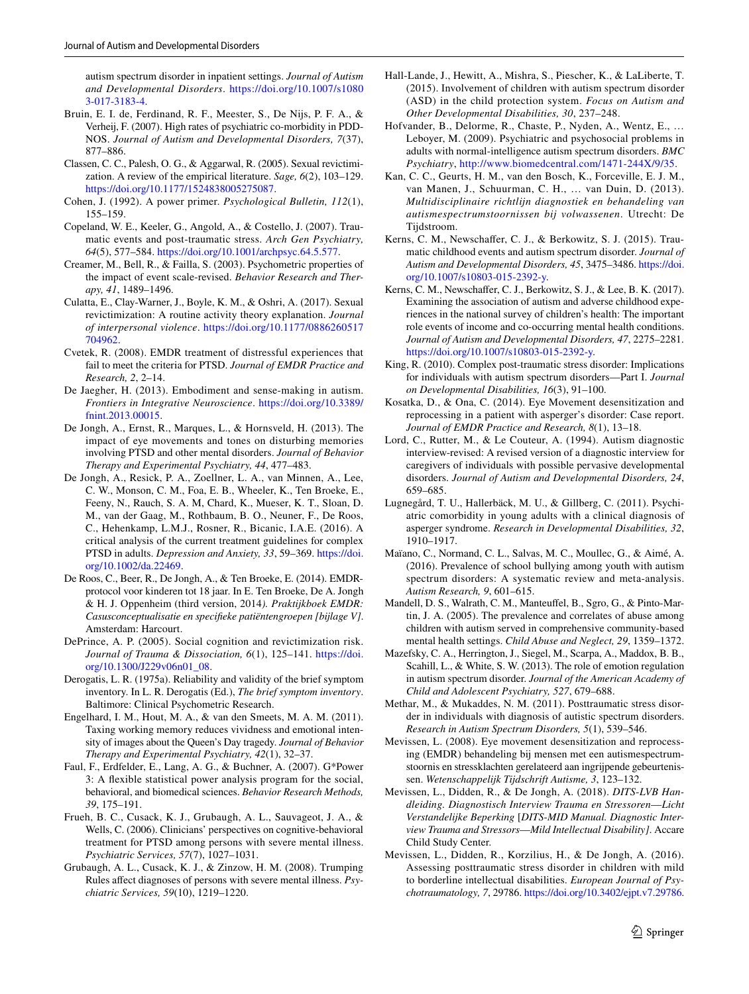autism spectrum disorder in inpatient settings. *Journal of Autism and Developmental Disorders*. [https://doi.org/10.1007/s1080](https://doi.org/10.1007/s10803-017-3183-4) [3-017-3183-4](https://doi.org/10.1007/s10803-017-3183-4).

- <span id="page-12-11"></span>Bruin, E. I. de, Ferdinand, R. F., Meester, S., De Nijs, P. F. A., & Verheij, F. (2007). High rates of psychiatric co-morbidity in PDD-NOS. *Journal of Autism and Developmental Disorders, 7*(37), 877–886.
- <span id="page-12-4"></span>Classen, C. C., Palesh, O. G., & Aggarwal, R. (2005). Sexual revictimization. A review of the empirical literature. *Sage, 6*(2), 103–129. [https://doi.org/10.1177/1524838005275087.](https://doi.org/10.1177/1524838005275087)
- <span id="page-12-30"></span>Cohen, J. (1992). A power primer. *Psychological Bulletin, 112*(1), 155–159.
- <span id="page-12-10"></span>Copeland, W. E., Keeler, G., Angold, A., & Costello, J. (2007). Traumatic events and post-traumatic stress. *Arch Gen Psychiatry, 64*(5), 577–584. [https://doi.org/10.1001/archpsyc.64.5.577.](https://doi.org/10.1001/archpsyc.64.5.577)
- <span id="page-12-23"></span>Creamer, M., Bell, R., & Failla, S. (2003). Psychometric properties of the impact of event scale-revised. *Behavior Research and Therapy, 41*, 1489–1496.
- <span id="page-12-5"></span>Culatta, E., Clay-Warner, J., Boyle, K. M., & Oshri, A. (2017). Sexual revictimization: A routine activity theory explanation. *Journal of interpersonal violence*. [https://doi.org/10.1177/0886260517](https://doi.org/10.1177/0886260517704962) [704962.](https://doi.org/10.1177/0886260517704962)
- <span id="page-12-32"></span>Cvetek, R. (2008). EMDR treatment of distressful experiences that fail to meet the criteria for PTSD. *Journal of EMDR Practice and Research, 2*, 2–14.
- <span id="page-12-1"></span>De Jaegher, H. (2013). Embodiment and sense-making in autism. *Frontiers in Integrative Neuroscience*. [https://doi.org/10.3389/](https://doi.org/10.3389/fnint.2013.00015) [fnint.2013.00015](https://doi.org/10.3389/fnint.2013.00015).
- <span id="page-12-27"></span>De Jongh, A., Ernst, R., Marques, L., & Hornsveld, H. (2013). The impact of eye movements and tones on disturbing memories involving PTSD and other mental disorders. *Journal of Behavior Therapy and Experimental Psychiatry, 44*, 477–483.
- <span id="page-12-26"></span>De Jongh, A., Resick, P. A., Zoellner, L. A., van Minnen, A., Lee, C. W., Monson, C. M., Foa, E. B., Wheeler, K., Ten Broeke, E., Feeny, N., Rauch, S. A. M, Chard, K., Mueser, K. T., Sloan, D. M., van der Gaag, M., Rothbaum, B. O., Neuner, F., De Roos, C., Hehenkamp, L.M.J., Rosner, R., Bicanic, I.A.E. (2016). A critical analysis of the current treatment guidelines for complex PTSD in adults. *Depression and Anxiety, 33*, 59–369. [https://doi.](https://doi.org/10.1002/da.22469) [org/10.1002/da.22469.](https://doi.org/10.1002/da.22469)
- <span id="page-12-19"></span>De Roos, C., Beer, R., De Jongh, A., & Ten Broeke, E. (2014). EMDRprotocol voor kinderen tot 18 jaar. In E. Ten Broeke, De A. Jongh & H. J. Oppenheim (third version, 2014*). Praktijkboek EMDR: Casusconceptualisatie en specifieke patiëntengroepen [bijlage V]*. Amsterdam: Harcourt.
- <span id="page-12-2"></span>DePrince, A. P. (2005). Social cognition and revictimization risk. *Journal of Trauma & Dissociation, 6*(1), 125–141. [https://doi.](https://doi.org/10.1300/J229v06n01_08) [org/10.1300/J229v06n01\\_08.](https://doi.org/10.1300/J229v06n01_08)
- <span id="page-12-25"></span>Derogatis, L. R. (1975a). Reliability and validity of the brief symptom inventory. In L. R. Derogatis (Ed.), *The brief symptom inventory*. Baltimore: Clinical Psychometric Research.
- <span id="page-12-28"></span>Engelhard, I. M., Hout, M. A., & van den Smeets, M. A. M. (2011). Taxing working memory reduces vividness and emotional intensity of images about the Queen's Day tragedy. *Journal of Behavior Therapy and Experimental Psychiatry, 42*(1), 32–37.
- <span id="page-12-29"></span>Faul, F., Erdfelder, E., Lang, A. G., & Buchner, A. (2007). G\*Power 3: A flexible statistical power analysis program for the social, behavioral, and biomedical sciences. *Behavior Research Methods, 39*, 175–191.
- <span id="page-12-18"></span>Frueh, B. C., Cusack, K. J., Grubaugh, A. L., Sauvageot, J. A., & Wells, C. (2006). Clinicians' perspectives on cognitive-behavioral treatment for PTSD among persons with severe mental illness. *Psychiatric Services, 57*(7), 1027–1031.
- <span id="page-12-15"></span>Grubaugh, A. L., Cusack, K. J., & Zinzow, H. M. (2008). Trumping Rules affect diagnoses of persons with severe mental illness. *Psychiatric Services, 59*(10), 1219–1220.
- <span id="page-12-6"></span>Hall-Lande, J., Hewitt, A., Mishra, S., Piescher, K., & LaLiberte, T. (2015). Involvement of children with autism spectrum disorder (ASD) in the child protection system. *Focus on Autism and Other Developmental Disabilities, 30*, 237–248.
- <span id="page-12-12"></span>Hofvander, B., Delorme, R., Chaste, P., Nyden, A., Wentz, E., … Leboyer, M. (2009). Psychiatric and psychosocial problems in adults with normal-intelligence autism spectrum disorders. *BMC Psychiatry*, [http://www.biomedcentral.com/1471-244X/9/35.](http://www.biomedcentral.com/1471-244X/9/35)
- <span id="page-12-20"></span>Kan, C. C., Geurts, H. M., van den Bosch, K., Forceville, E. J. M., van Manen, J., Schuurman, C. H., … van Duin, D. (2013). *Multidisciplinaire richtlijn diagnostiek en behandeling van autismespectrumstoornissen bij volwassenen*. Utrecht: De Tijdstroom.
- <span id="page-12-0"></span>Kerns, C. M., Newschaffer, C. J., & Berkowitz, S. J. (2015). Traumatic childhood events and autism spectrum disorder. *Journal of Autism and Developmental Disorders, 45*, 3475–3486. [https://doi.](https://doi.org/10.1007/s10803-015-2392-y) [org/10.1007/s10803-015-2392-y](https://doi.org/10.1007/s10803-015-2392-y).
- <span id="page-12-7"></span>Kerns, C. M., Newschaffer, C. J., Berkowitz, S. J., & Lee, B. K. (2017). Examining the association of autism and adverse childhood experiences in the national survey of children's health: The important role events of income and co-occurring mental health conditions. *Journal of Autism and Developmental Disorders, 47*, 2275–2281. <https://doi.org/10.1007/s10803-015-2392-y>.
- <span id="page-12-14"></span>King, R. (2010). Complex post-traumatic stress disorder: Implications for individuals with autism spectrum disorders—Part I. *Journal on Developmental Disabilities, 16*(3), 91–100.
- <span id="page-12-16"></span>Kosatka, D., & Ona, C. (2014). Eye Movement desensitization and reprocessing in a patient with asperger's disorder: Case report. *Journal of EMDR Practice and Research, 8*(1), 13–18.
- <span id="page-12-21"></span>Lord, C., Rutter, M., & Le Couteur, A. (1994). Autism diagnostic interview-revised: A revised version of a diagnostic interview for caregivers of individuals with possible pervasive developmental disorders. *Journal of Autism and Developmental Disorders, 24*, 659–685.
- <span id="page-12-13"></span>Lugnegård, T. U., Hallerbäck, M. U., & Gillberg, C. (2011). Psychiatric comorbidity in young adults with a clinical diagnosis of asperger syndrome. *Research in Developmental Disabilities, 32*, 1910–1917.
- <span id="page-12-31"></span>Maïano, C., Normand, C. L., Salvas, M. C., Moullec, G., & Aimé, A. (2016). Prevalence of school bullying among youth with autism spectrum disorders: A systematic review and meta-analysis. *Autism Research, 9*, 601–615.
- <span id="page-12-8"></span>Mandell, D. S., Walrath, C. M., Manteuffel, B., Sgro, G., & Pinto-Martin, J. A. (2005). The prevalence and correlates of abuse among children with autism served in comprehensive community-based mental health settings. *Child Abuse and Neglect, 29*, 1359–1372.
- <span id="page-12-3"></span>Mazefsky, C. A., Herrington, J., Siegel, M., Scarpa, A., Maddox, B. B., Scahill, L., & White, S. W. (2013). The role of emotion regulation in autism spectrum disorder. *Journal of the American Academy of Child and Adolescent Psychiatry, 527*, 679–688.
- <span id="page-12-9"></span>Methar, M., & Mukaddes, N. M. (2011). Posttraumatic stress disorder in individuals with diagnosis of autistic spectrum disorders. *Research in Autism Spectrum Disorders, 5*(1), 539–546.
- <span id="page-12-17"></span>Mevissen, L. (2008). Eye movement desensitization and reprocessing (EMDR) behandeling bij mensen met een autismespectrumstoornis en stressklachten gerelateerd aan ingrijpende gebeurtenissen. *Wetenschappelijk Tijdschrift Autisme, 3*, 123–132.
- <span id="page-12-24"></span>Mevissen, L., Didden, R., & De Jongh, A. (2018). *DITS*-*LVB Handleiding. Diagnostisch Interview Trauma en Stressoren*—*Licht Verstandelijke Beperking* [*DITS*-*MID Manual. Diagnostic Interview Trauma and Stressors*—*Mild Intellectual Disability]*. Accare Child Study Center.
- <span id="page-12-22"></span>Mevissen, L., Didden, R., Korzilius, H., & De Jongh, A. (2016). Assessing posttraumatic stress disorder in children with mild to borderline intellectual disabilities. *European Journal of Psychotraumatology, 7*, 29786.<https://doi.org/10.3402/ejpt.v7.29786>.